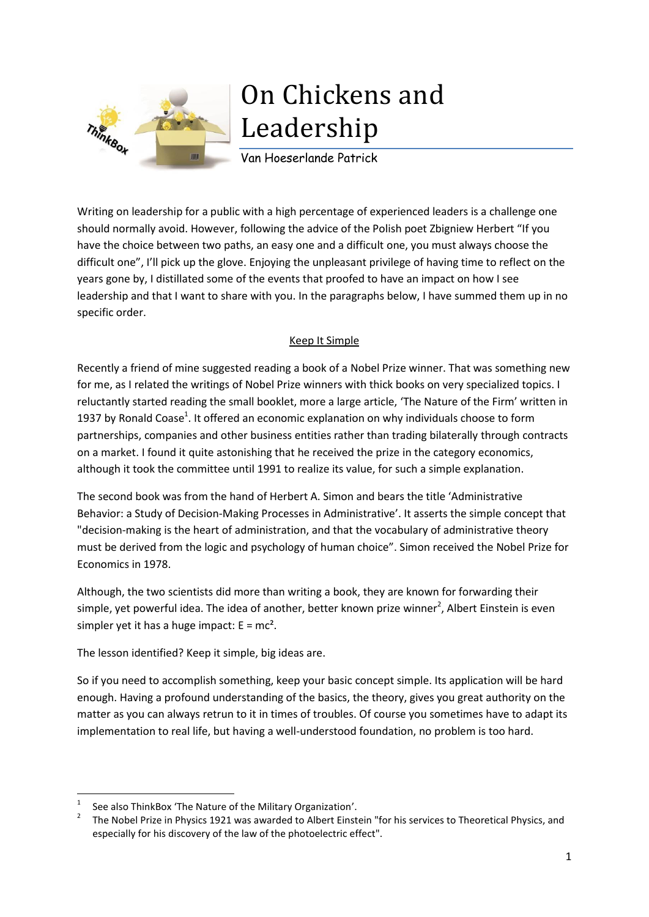

# On Chickens and Leadership

Van Hoeserlande Patrick

Writing on leadership for a public with a high percentage of experienced leaders is a challenge one should normally avoid. However, following the advice of the Polish poet Zbigniew Herbert "If you have the choice between two paths, an easy one and a difficult one, you must always choose the difficult one", I'll pick up the glove. Enjoying the unpleasant privilege of having time to reflect on the years gone by, I distillated some of the events that proofed to have an impact on how I see leadership and that I want to share with you. In the paragraphs below, I have summed them up in no specific order.

# Keep It Simple

Recently a friend of mine suggested reading a book of a Nobel Prize winner. That was something new for me, as I related the writings of Nobel Prize winners with thick books on very specialized topics. I reluctantly started reading the small booklet, more a large article, 'The Nature of the Firm' written in 1937 by Ronald Coase<sup>1</sup>. It offered an economic explanation on why individuals choose to form partnerships, companies and other business entities rather than trading bilaterally through contracts on a market. I found it quite astonishing that he received the prize in the category economics, although it took the committee until 1991 to realize its value, for such a simple explanation.

The second book was from the hand of Herbert A. Simon and bears the title 'Administrative Behavior: a Study of Decision-Making Processes in Administrative'. It asserts the simple concept that "decision-making is the heart of administration, and that the vocabulary of administrative theory must be derived from the logic and psychology of human choice". Simon received the Nobel Prize for Economics in 1978.

Although, the two scientists did more than writing a book, they are known for forwarding their simple, yet powerful idea. The idea of another, better known prize winner<sup>2</sup>, Albert Einstein is even simpler yet it has a huge impact:  $E = mc^2$ .

The lesson identified? Keep it simple, big ideas are.

So if you need to accomplish something, keep your basic concept simple. Its application will be hard enough. Having a profound understanding of the basics, the theory, gives you great authority on the matter as you can always retrun to it in times of troubles. Of course you sometimes have to adapt its implementation to real life, but having a well-understood foundation, no problem is too hard.

**.** 

<sup>1</sup> See also ThinkBox 'The Nature of the Military Organization'.

<sup>2</sup> The Nobel Prize in Physics 1921 was awarded to Albert Einstein "for his services to Theoretical Physics, and especially for his discovery of the law of the photoelectric effect".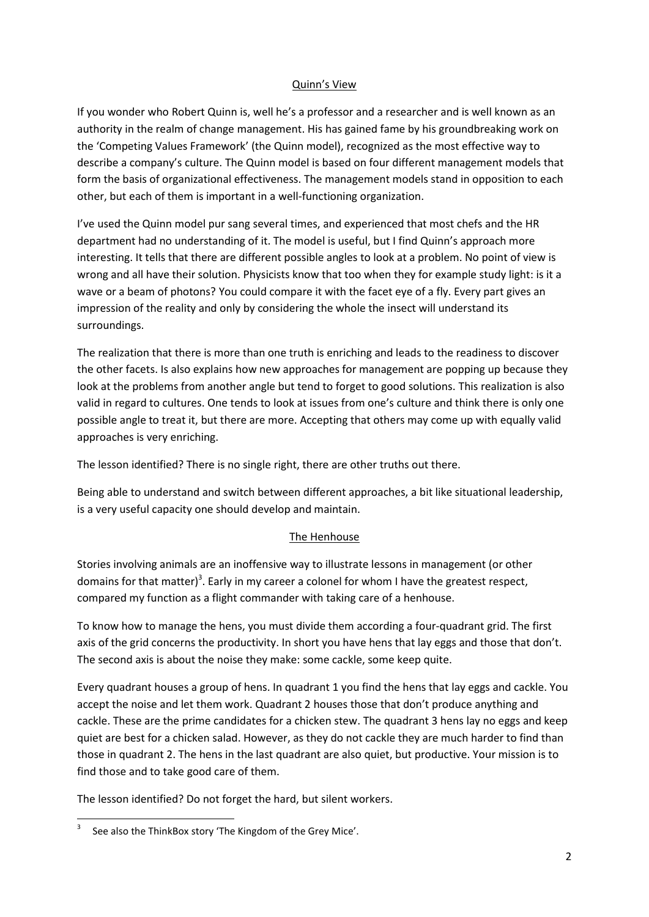#### Quinn's View

If you wonder who Robert Quinn is, well he's a professor and a researcher and is well known as an authority in the realm of change management. His has gained fame by his groundbreaking work on the 'Competing Values Framework' (the Quinn model), recognized as the most effective way to describe a company's culture. The Quinn model is based on four different management models that form the basis of organizational effectiveness. The management models stand in opposition to each other, but each of them is important in a well-functioning organization.

I've used the Quinn model pur sang several times, and experienced that most chefs and the HR department had no understanding of it. The model is useful, but I find Quinn's approach more interesting. It tells that there are different possible angles to look at a problem. No point of view is wrong and all have their solution. Physicists know that too when they for example study light: is it a wave or a beam of photons? You could compare it with the facet eye of a fly. Every part gives an impression of the reality and only by considering the whole the insect will understand its surroundings.

The realization that there is more than one truth is enriching and leads to the readiness to discover the other facets. Is also explains how new approaches for management are popping up because they look at the problems from another angle but tend to forget to good solutions. This realization is also valid in regard to cultures. One tends to look at issues from one's culture and think there is only one possible angle to treat it, but there are more. Accepting that others may come up with equally valid approaches is very enriching.

The lesson identified? There is no single right, there are other truths out there.

Being able to understand and switch between different approaches, a bit like situational leadership, is a very useful capacity one should develop and maintain.

#### The Henhouse

Stories involving animals are an inoffensive way to illustrate lessons in management (or other domains for that matter)<sup>3</sup>. Early in my career a colonel for whom I have the greatest respect, compared my function as a flight commander with taking care of a henhouse.

To know how to manage the hens, you must divide them according a four-quadrant grid. The first axis of the grid concerns the productivity. In short you have hens that lay eggs and those that don't. The second axis is about the noise they make: some cackle, some keep quite.

Every quadrant houses a group of hens. In quadrant 1 you find the hens that lay eggs and cackle. You accept the noise and let them work. Quadrant 2 houses those that don't produce anything and cackle. These are the prime candidates for a chicken stew. The quadrant 3 hens lay no eggs and keep quiet are best for a chicken salad. However, as they do not cackle they are much harder to find than those in quadrant 2. The hens in the last quadrant are also quiet, but productive. Your mission is to find those and to take good care of them.

The lesson identified? Do not forget the hard, but silent workers.

**.** 

<sup>3</sup> See also the ThinkBox story 'The Kingdom of the Grey Mice'.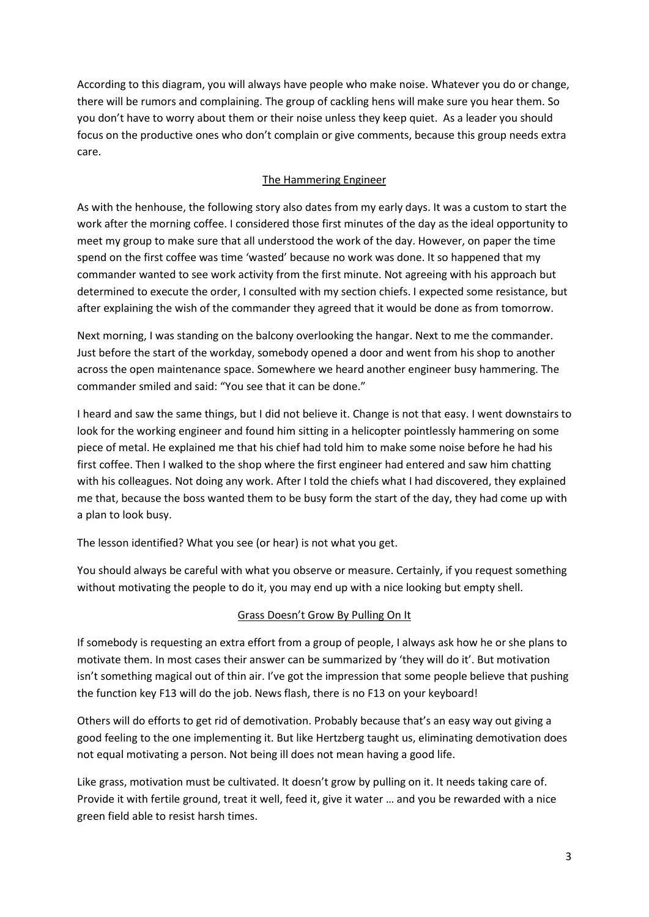According to this diagram, you will always have people who make noise. Whatever you do or change, there will be rumors and complaining. The group of cackling hens will make sure you hear them. So you don't have to worry about them or their noise unless they keep quiet. As a leader you should focus on the productive ones who don't complain or give comments, because this group needs extra care.

### The Hammering Engineer

As with the henhouse, the following story also dates from my early days. It was a custom to start the work after the morning coffee. I considered those first minutes of the day as the ideal opportunity to meet my group to make sure that all understood the work of the day. However, on paper the time spend on the first coffee was time 'wasted' because no work was done. It so happened that my commander wanted to see work activity from the first minute. Not agreeing with his approach but determined to execute the order, I consulted with my section chiefs. I expected some resistance, but after explaining the wish of the commander they agreed that it would be done as from tomorrow.

Next morning, I was standing on the balcony overlooking the hangar. Next to me the commander. Just before the start of the workday, somebody opened a door and went from his shop to another across the open maintenance space. Somewhere we heard another engineer busy hammering. The commander smiled and said: "You see that it can be done."

I heard and saw the same things, but I did not believe it. Change is not that easy. I went downstairs to look for the working engineer and found him sitting in a helicopter pointlessly hammering on some piece of metal. He explained me that his chief had told him to make some noise before he had his first coffee. Then I walked to the shop where the first engineer had entered and saw him chatting with his colleagues. Not doing any work. After I told the chiefs what I had discovered, they explained me that, because the boss wanted them to be busy form the start of the day, they had come up with a plan to look busy.

The lesson identified? What you see (or hear) is not what you get.

You should always be careful with what you observe or measure. Certainly, if you request something without motivating the people to do it, you may end up with a nice looking but empty shell.

## Grass Doesn't Grow By Pulling On It

If somebody is requesting an extra effort from a group of people, I always ask how he or she plans to motivate them. In most cases their answer can be summarized by 'they will do it'. But motivation isn't something magical out of thin air. I've got the impression that some people believe that pushing the function key F13 will do the job. News flash, there is no F13 on your keyboard!

Others will do efforts to get rid of demotivation. Probably because that's an easy way out giving a good feeling to the one implementing it. But like Hertzberg taught us, eliminating demotivation does not equal motivating a person. Not being ill does not mean having a good life.

Like grass, motivation must be cultivated. It doesn't grow by pulling on it. It needs taking care of. Provide it with fertile ground, treat it well, feed it, give it water … and you be rewarded with a nice green field able to resist harsh times.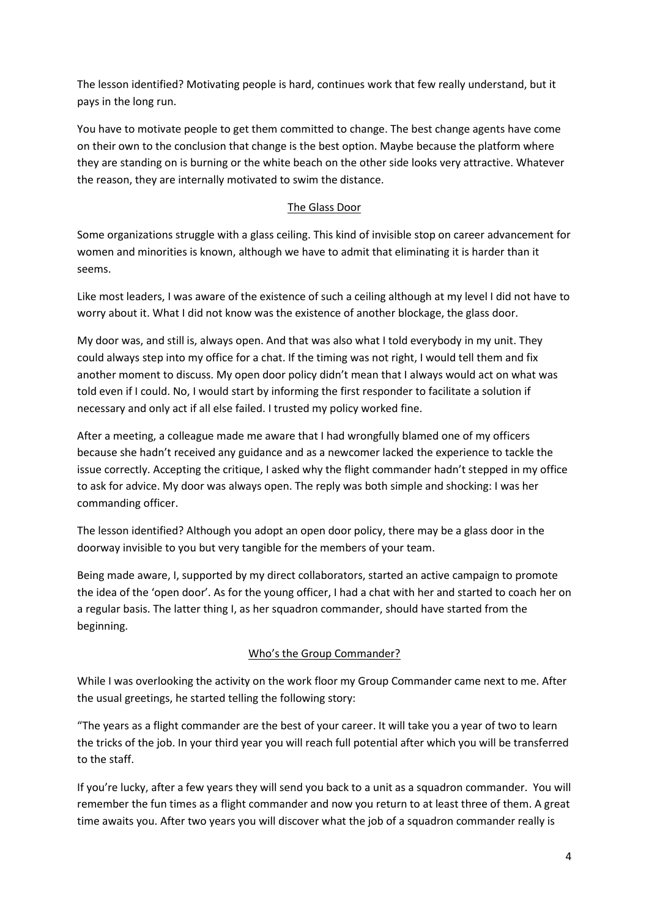The lesson identified? Motivating people is hard, continues work that few really understand, but it pays in the long run.

You have to motivate people to get them committed to change. The best change agents have come on their own to the conclusion that change is the best option. Maybe because the platform where they are standing on is burning or the white beach on the other side looks very attractive. Whatever the reason, they are internally motivated to swim the distance.

### The Glass Door

Some organizations struggle with a glass ceiling. This kind of invisible stop on career advancement for women and minorities is known, although we have to admit that eliminating it is harder than it seems.

Like most leaders, I was aware of the existence of such a ceiling although at my level I did not have to worry about it. What I did not know was the existence of another blockage, the glass door.

My door was, and still is, always open. And that was also what I told everybody in my unit. They could always step into my office for a chat. If the timing was not right, I would tell them and fix another moment to discuss. My open door policy didn't mean that I always would act on what was told even if I could. No, I would start by informing the first responder to facilitate a solution if necessary and only act if all else failed. I trusted my policy worked fine.

After a meeting, a colleague made me aware that I had wrongfully blamed one of my officers because she hadn't received any guidance and as a newcomer lacked the experience to tackle the issue correctly. Accepting the critique, I asked why the flight commander hadn't stepped in my office to ask for advice. My door was always open. The reply was both simple and shocking: I was her commanding officer.

The lesson identified? Although you adopt an open door policy, there may be a glass door in the doorway invisible to you but very tangible for the members of your team.

Being made aware, I, supported by my direct collaborators, started an active campaign to promote the idea of the 'open door'. As for the young officer, I had a chat with her and started to coach her on a regular basis. The latter thing I, as her squadron commander, should have started from the beginning.

#### Who's the Group Commander?

While I was overlooking the activity on the work floor my Group Commander came next to me. After the usual greetings, he started telling the following story:

"The years as a flight commander are the best of your career. It will take you a year of two to learn the tricks of the job. In your third year you will reach full potential after which you will be transferred to the staff.

If you're lucky, after a few years they will send you back to a unit as a squadron commander. You will remember the fun times as a flight commander and now you return to at least three of them. A great time awaits you. After two years you will discover what the job of a squadron commander really is